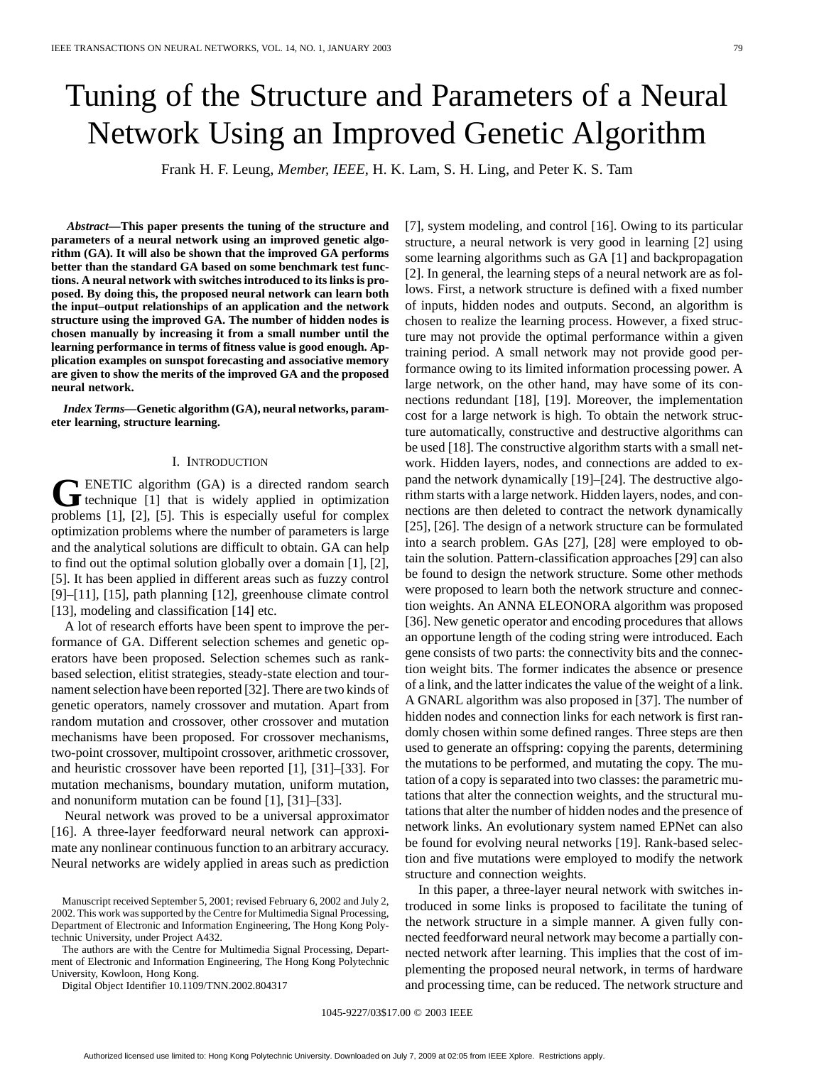# Tuning of the Structure and Parameters of a Neural Network Using an Improved Genetic Algorithm

Frank H. F. Leung*, Member, IEEE*, H. K. Lam, S. H. Ling, and Peter K. S. Tam

*Abstract—***This paper presents the tuning of the structure and parameters of a neural network using an improved genetic algorithm (GA). It will also be shown that the improved GA performs better than the standard GA based on some benchmark test functions. A neural network with switches introduced to its links is proposed. By doing this, the proposed neural network can learn both the input–output relationships of an application and the network structure using the improved GA. The number of hidden nodes is chosen manually by increasing it from a small number until the learning performance in terms of fitness value is good enough. Application examples on sunspot forecasting and associative memory are given to show the merits of the improved GA and the proposed neural network.**

*Index Terms—***Genetic algorithm (GA), neural networks, parameter learning, structure learning.**

## I. INTRODUCTION

ENETIC algorithm (GA) is a directed random search<br>technique [1] that is widely applied in optimization<br>mappleme [1] [2] [5] This is appealiable useful for complement problems [1], [2], [5]. This is especially useful for complex optimization problems where the number of parameters is large and the analytical solutions are difficult to obtain. GA can help to find out the optimal solution globally over a domain [1], [2], [5]. It has been applied in different areas such as fuzzy control [9]–[11], [15], path planning [12], greenhouse climate control [13], modeling and classification [14] etc.

A lot of research efforts have been spent to improve the performance of GA. Different selection schemes and genetic operators have been proposed. Selection schemes such as rankbased selection, elitist strategies, steady-state election and tournament selection have been reported [32]. There are two kinds of genetic operators, namely crossover and mutation. Apart from random mutation and crossover, other crossover and mutation mechanisms have been proposed. For crossover mechanisms, two-point crossover, multipoint crossover, arithmetic crossover, and heuristic crossover have been reported [1], [31]–[33]. For mutation mechanisms, boundary mutation, uniform mutation, and nonuniform mutation can be found [1], [31]–[33].

Neural network was proved to be a universal approximator [16]. A three-layer feedforward neural network can approximate any nonlinear continuous function to an arbitrary accuracy. Neural networks are widely applied in areas such as prediction

The authors are with the Centre for Multimedia Signal Processing, Department of Electronic and Information Engineering, The Hong Kong Polytechnic University, Kowloon, Hong Kong.

Digital Object Identifier 10.1109/TNN.2002.804317

[7], system modeling, and control [16]. Owing to its particular structure, a neural network is very good in learning [2] using some learning algorithms such as GA [1] and backpropagation [2]. In general, the learning steps of a neural network are as follows. First, a network structure is defined with a fixed number of inputs, hidden nodes and outputs. Second, an algorithm is chosen to realize the learning process. However, a fixed structure may not provide the optimal performance within a given training period. A small network may not provide good performance owing to its limited information processing power. A large network, on the other hand, may have some of its connections redundant [18], [19]. Moreover, the implementation cost for a large network is high. To obtain the network structure automatically, constructive and destructive algorithms can be used [18]. The constructive algorithm starts with a small network. Hidden layers, nodes, and connections are added to expand the network dynamically [19]–[24]. The destructive algorithm starts with a large network. Hidden layers, nodes, and connections are then deleted to contract the network dynamically [25], [26]. The design of a network structure can be formulated into a search problem. GAs [27], [28] were employed to obtain the solution. Pattern-classification approaches [29] can also be found to design the network structure. Some other methods were proposed to learn both the network structure and connection weights. An ANNA ELEONORA algorithm was proposed [36]. New genetic operator and encoding procedures that allows an opportune length of the coding string were introduced. Each gene consists of two parts: the connectivity bits and the connection weight bits. The former indicates the absence or presence of a link, and the latter indicates the value of the weight of a link. A GNARL algorithm was also proposed in [37]. The number of hidden nodes and connection links for each network is first randomly chosen within some defined ranges. Three steps are then used to generate an offspring: copying the parents, determining the mutations to be performed, and mutating the copy. The mutation of a copy is separated into two classes: the parametric mutations that alter the connection weights, and the structural mutations that alter the number of hidden nodes and the presence of network links. An evolutionary system named EPNet can also be found for evolving neural networks [19]. Rank-based selection and five mutations were employed to modify the network structure and connection weights.

In this paper, a three-layer neural network with switches introduced in some links is proposed to facilitate the tuning of the network structure in a simple manner. A given fully connected feedforward neural network may become a partially connected network after learning. This implies that the cost of implementing the proposed neural network, in terms of hardware and processing time, can be reduced. The network structure and

1045-9227/03\$17.00 © 2003 IEEE

Manuscript received September 5, 2001; revised February 6, 2002 and July 2, 2002. This work was supported by the Centre for Multimedia Signal Processing, Department of Electronic and Information Engineering, The Hong Kong Polytechnic University, under Project A432.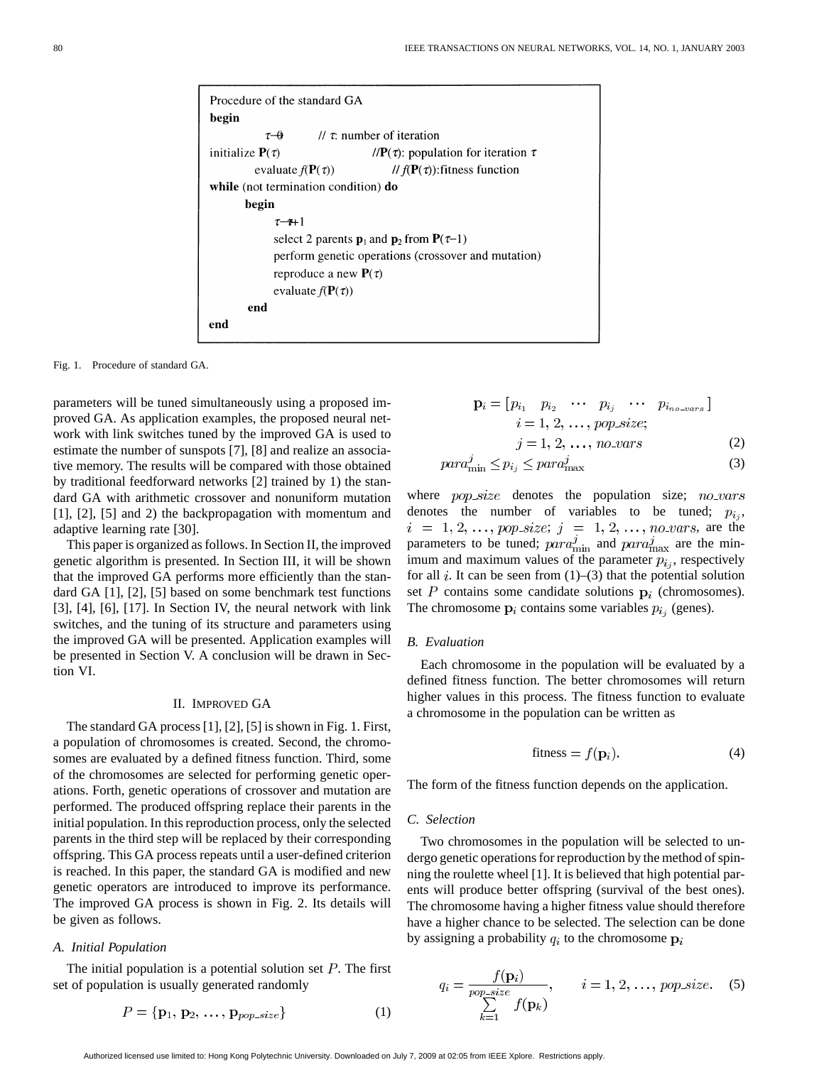| Procedure of the standard GA                      |                                                                              |
|---------------------------------------------------|------------------------------------------------------------------------------|
| begin                                             |                                                                              |
| $\tau$ - $\theta$ // $\tau$ : number of iteration |                                                                              |
| initialize $P(\tau)$                              | // $P(\tau)$ : population for iteration $\tau$                               |
| evaluate $f(\mathbf{P}(\tau))$                    | // $f(\mathbf{P}(\tau))$ : fitness function                                  |
| while (not termination condition) do              |                                                                              |
| begin                                             |                                                                              |
| $\tau - 1$                                        |                                                                              |
|                                                   | select 2 parents $\mathbf{p}_1$ and $\mathbf{p}_2$ from $\mathbf{P}(\tau-1)$ |
|                                                   | perform genetic operations (crossover and mutation)                          |
| reproduce a new $P(\tau)$                         |                                                                              |
| evaluate $f(\mathbf{P}(\tau))$                    |                                                                              |
| end                                               |                                                                              |
| end                                               |                                                                              |

Fig. 1. Procedure of standard GA.

parameters will be tuned simultaneously using a proposed improved GA. As application examples, the proposed neural network with link switches tuned by the improved GA is used to estimate the number of sunspots [7], [8] and realize an associative memory. The results will be compared with those obtained by traditional feedforward networks [2] trained by 1) the standard GA with arithmetic crossover and nonuniform mutation [1], [2], [5] and 2) the backpropagation with momentum and adaptive learning rate [30].

This paper is organized as follows. In Section II, the improved genetic algorithm is presented. In Section III, it will be shown that the improved GA performs more efficiently than the standard GA [1], [2], [5] based on some benchmark test functions [3], [4], [6], [17]. In Section IV, the neural network with link switches, and the tuning of its structure and parameters using the improved GA will be presented. Application examples will be presented in Section V. A conclusion will be drawn in Section VI.

## II. IMPROVED GA

The standard GA process [1], [2], [5] is shown in Fig. 1. First, a population of chromosomes is created. Second, the chromosomes are evaluated by a defined fitness function. Third, some of the chromosomes are selected for performing genetic operations. Forth, genetic operations of crossover and mutation are performed. The produced offspring replace their parents in the initial population. In this reproduction process, only the selected parents in the third step will be replaced by their corresponding offspring. This GA process repeats until a user-defined criterion is reached. In this paper, the standard GA is modified and new genetic operators are introduced to improve its performance. The improved GA process is shown in Fig. 2. Its details will be given as follows.

## *A. Initial Population*

The initial population is a potential solution set  $P$ . The first set of population is usually generated randomly

$$
P = {\mathbf{p}_1, \mathbf{p}_2, \dots, \mathbf{p}_{pop\_size}}
$$
 (1)

$$
\mathbf{p}_{i} = \begin{bmatrix} p_{i_1} & p_{i_2} & \cdots & p_{i_j} & \cdots & p_{i_{no\_\text{vars}}} \end{bmatrix}
$$
  
\n
$$
i = 1, 2, \ldots, pop\_size;
$$
  
\n
$$
j = 1, 2, \ldots, no\_vars
$$
 (2)

$$
\left( \begin{array}{c} 1 \\ 2 \\ 3 \end{array} \right)
$$

$$
para_{\min}^j \leq p_{i_j} \leq para_{\max}^j \tag{3}
$$

where  $pop\_size$  denotes the population size;  $no\_vars$ denotes the number of variables to be tuned;  $p_{i_j}$ ,  $i = 1, 2, ..., pop\_size; j = 1, 2, ..., no\_vars,$  are the parameters to be tuned;  $para_{\text{min}}^j$  and  $para_{\text{max}}^j$  are the minimum and maximum values of the parameter  $p_{i_j}$ , respectively for all  $i$ . It can be seen from  $(1)$ – $(3)$  that the potential solution set P contains some candidate solutions  $p_i$  (chromosomes). The chromosome  $p_i$  contains some variables  $p_{i_j}$  (genes).

## *B. Evaluation*

Each chromosome in the population will be evaluated by a defined fitness function. The better chromosomes will return higher values in this process. The fitness function to evaluate a chromosome in the population can be written as

$$
fitness = f(\mathbf{p}_i). \tag{4}
$$

The form of the fitness function depends on the application.

#### *C. Selection*

Two chromosomes in the population will be selected to undergo genetic operations for reproduction by the method of spinning the roulette wheel [1]. It is believed that high potential parents will produce better offspring (survival of the best ones). The chromosome having a higher fitness value should therefore have a higher chance to be selected. The selection can be done by assigning a probability  $q_i$  to the chromosome  $p_i$ 

$$
q_i = \frac{f(\mathbf{p}_i)}{\sum\limits_{k=1}^{pop\_size}} , \qquad i = 1, 2, ..., pop\_size.
$$
 (5)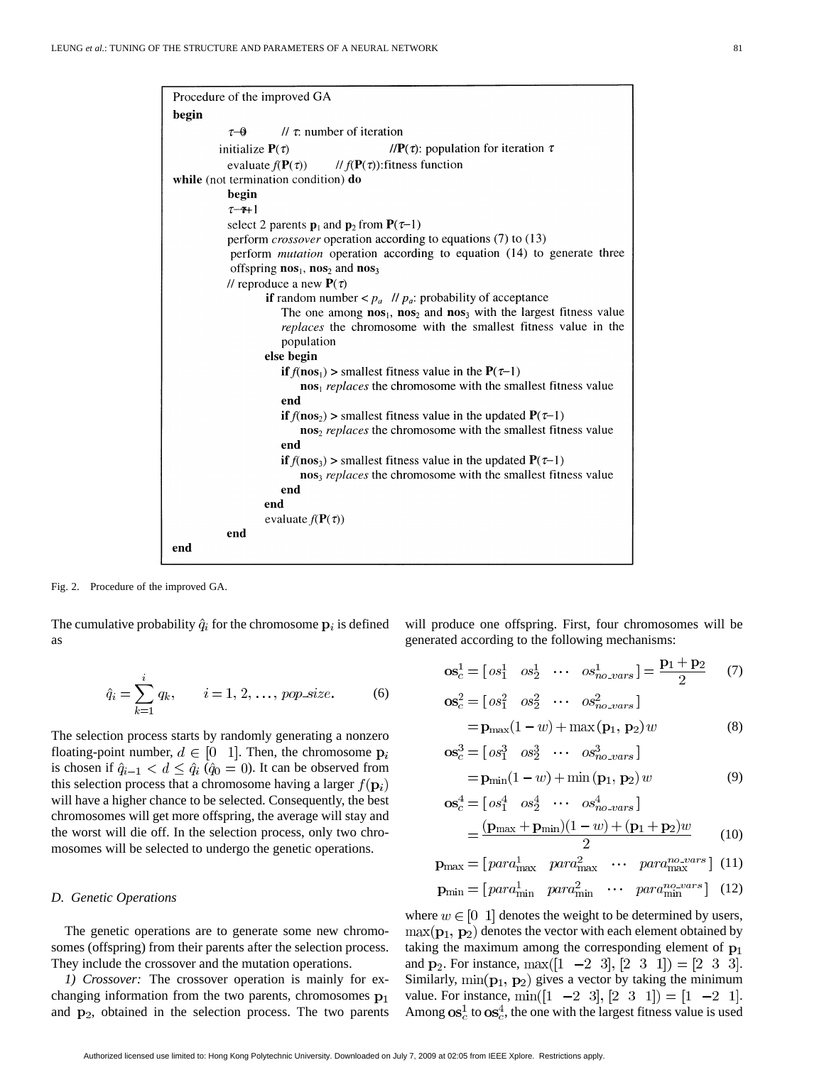| Procedure of the improved GA                                                                                                                                                    |
|---------------------------------------------------------------------------------------------------------------------------------------------------------------------------------|
| begin                                                                                                                                                                           |
| // $\tau$ number of iteration<br>$\tau \rightarrow 0$                                                                                                                           |
| $\sqrt{P(\tau)}$ : population for iteration $\tau$<br>initialize $P(\tau)$                                                                                                      |
| evaluate $f(\mathbf{P}(\tau))$ // $f(\mathbf{P}(\tau))$ : fitness function                                                                                                      |
| while (not termination condition) do                                                                                                                                            |
| begin                                                                                                                                                                           |
| $\tau$ <sup>-7+1</sup>                                                                                                                                                          |
| select 2 parents $\mathbf{p}_1$ and $\mathbf{p}_2$ from $\mathbf{P}(\tau-1)$                                                                                                    |
| perform <i>crossover</i> operation according to equations (7) to (13)                                                                                                           |
| perform mutation operation according to equation (14) to generate three                                                                                                         |
| offspring nos <sub>1</sub> , nos <sub>2</sub> and nos <sub>3</sub>                                                                                                              |
| // reproduce a new $P(\tau)$                                                                                                                                                    |
| <b>if</b> random number $\lt p_a$ // $p_a$ : probability of acceptance<br>The one among $\mathbf{nos}_1$ , $\mathbf{nos}_2$ and $\mathbf{nos}_3$ with the largest fitness value |
| replaces the chromosome with the smallest fitness value in the                                                                                                                  |
| population                                                                                                                                                                      |
| else begin                                                                                                                                                                      |
| if $f(nos_1)$ > smallest fitness value in the $P(\tau-1)$                                                                                                                       |
| $\textbf{nos}_1$ replaces the chromosome with the smallest fitness value                                                                                                        |
| end                                                                                                                                                                             |
| <b>if</b> $f(\text{nos}_2)$ > smallest fitness value in the updated $P(\tau-1)$                                                                                                 |
| $\textbf{nos}_2$ replaces the chromosome with the smallest fitness value                                                                                                        |
| end                                                                                                                                                                             |
| <b>if</b> $f(\text{nos}_3)$ > smallest fitness value in the updated $P(\tau-1)$                                                                                                 |
| nos <sub>3</sub> replaces the chromosome with the smallest fitness value                                                                                                        |
| end<br>end                                                                                                                                                                      |
| evaluate $f(\mathbf{P}(\tau))$                                                                                                                                                  |
| end                                                                                                                                                                             |
| end                                                                                                                                                                             |
|                                                                                                                                                                                 |

Fig. 2. Procedure of the improved GA.

The cumulative probability  $\hat{q}_i$  for the chromosome  $p_i$  is defined as

$$
\hat{q}_i = \sum_{k=1}^i q_k, \qquad i = 1, 2, ..., pop\_size.
$$
 (6)

The selection process starts by randomly generating a nonzero floating-point number,  $d \in [0 \ 1]$ . Then, the chromosome  $p_i$ is chosen if  $\hat{q}_{i-1} < d \leq \hat{q}_i$  ( $\hat{q}_0 = 0$ ). It can be observed from this selection process that a chromosome having a larger  $f(\mathbf{p}_i)$ will have a higher chance to be selected. Consequently, the best chromosomes will get more offspring, the average will stay and the worst will die off. In the selection process, only two chromosomes will be selected to undergo the genetic operations.

#### *D. Genetic Operations*

The genetic operations are to generate some new chromosomes (offspring) from their parents after the selection process. They include the crossover and the mutation operations.

*1) Crossover:* The crossover operation is mainly for exchanging information from the two parents, chromosomes  $p_1$ and  $\mathbf{p}_2$ , obtained in the selection process. The two parents will produce one offspring. First, four chromosomes will be generated according to the following mechanisms:

$$
\mathbf{os}_c^1 = \begin{bmatrix} os_1^1 & os_2^1 & \cdots & os_{no\_vars}^1 \end{bmatrix} = \frac{\mathbf{p}_1 + \mathbf{p}_2}{2} \tag{7}
$$

$$
\begin{aligned} \n\text{cos}_c^2 &= \begin{bmatrix} \cos_1^2 & \cos_2^2 & \cdots & \cos_{no\_vars}^2 \end{bmatrix} \\ \n&= \mathbf{p}_{\text{max}}(1 - w) + \max\left(\mathbf{p}_1, \mathbf{p}_2\right) w \n\end{bmatrix} \n\end{aligned} \tag{8}
$$

$$
\mathbf{os}_c^3 = \begin{bmatrix} os_1^3 & os_2^3 & \cdots & os_{no\_vars}^3 \end{bmatrix}
$$

$$
= \mathbf{p}_{\min}(1-w) + \min(\mathbf{p}_1, \mathbf{p}_2) w
$$
  

$$
\mathbf{os}^4 = \begin{bmatrix} os_1^4 & os_2^4 & \cdots & os_1^4 \end{bmatrix}
$$
 (9)

$$
= \frac{(\mathbf{p}_{\max} + \mathbf{p}_{\min})(1 - w) + (\mathbf{p}_1 + \mathbf{p}_2)w}{2}
$$
 (10)

$$
\mathbf{p}_{\text{max}} = \begin{bmatrix} para_{\text{max}}^1 & para_{\text{max}}^2 & \cdots & para_{\text{max}}^n \end{bmatrix} \tag{11}
$$

$$
\mathbf{p}_{\min} = \begin{bmatrix} para_{\min}^1 & para_{\min}^2 & \cdots & para_{\min}^{no\_vars} \end{bmatrix} \tag{12}
$$

where  $w \in [0 \ 1]$  denotes the weight to be determined by users,  $max(\mathbf{p}_1, \mathbf{p}_2)$  denotes the vector with each element obtained by taking the maximum among the corresponding element of  $p_1$ and  $\mathbf{p}_2$ . For instance, max([1 -2 3], [2 3 1]) = [2 3 3]. Similarly,  $min(\mathbf{p}_1, \mathbf{p}_2)$  gives a vector by taking the minimum value. For instance,  $\min([1 \ -2 \ 3], [2 \ 3 \ 1]) = [1 \ -2 \ 1].$ Among  $\mathbf{os}_c^1$  to  $\mathbf{os}_c^4$ , the one with the largest fitness value is used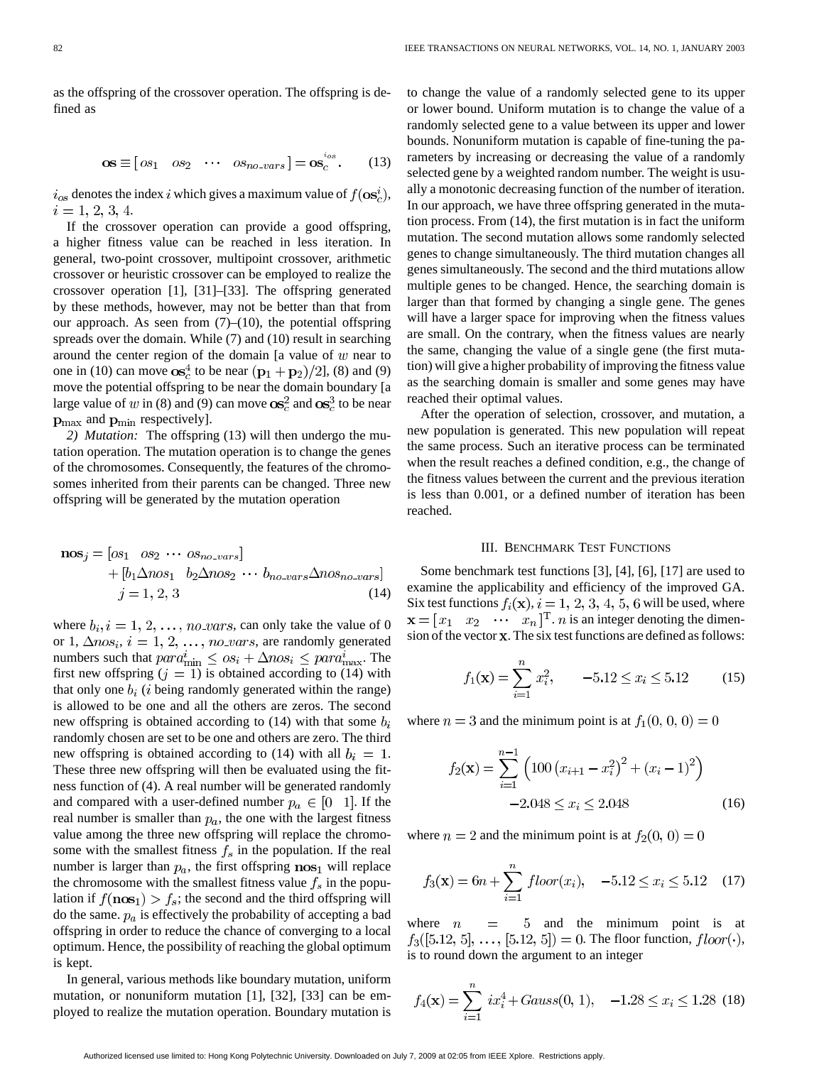as the offspring of the crossover operation. The offspring is defined as

$$
\mathbf{os} \equiv [os_1 \quad os_2 \quad \cdots \quad os_{no\_vars}] = \mathbf{os}_c^{s_{os}}.
$$
 (13)

 $i_{os}$  denotes the index i which gives a maximum value of  $f(\mathbf{os}_c^i)$ ,  $i = 1, 2, 3, 4.$ 

If the crossover operation can provide a good offspring, a higher fitness value can be reached in less iteration. In general, two-point crossover, multipoint crossover, arithmetic crossover or heuristic crossover can be employed to realize the crossover operation [1], [31]–[33]. The offspring generated by these methods, however, may not be better than that from our approach. As seen from  $(7)$ – $(10)$ , the potential offspring spreads over the domain. While (7) and (10) result in searching around the center region of the domain [a value of  $w$  near to one in (10) can move  $\textbf{os}_c^4$  to be near  $(\textbf{p}_1 + \textbf{p}_2)/2$ , (8) and (9) move the potential offspring to be near the domain boundary [a large value of w in (8) and (9) can move  $\cos^2$  and  $\cos^3$  to be near  $\mathbf{p}_{\text{max}}$  and  $\mathbf{p}_{\text{min}}$  respectively].

*2) Mutation:* The offspring (13) will then undergo the mutation operation. The mutation operation is to change the genes of the chromosomes. Consequently, the features of the chromosomes inherited from their parents can be changed. Three new offspring will be generated by the mutation operation

$$
\mathbf{nos}_j = [os_1 \quad os_2 \quad \cdots \quad os_{no\_vars}] \n+ [b_1 \Delta nos_1 \quad b_2 \Delta nos_2 \quad \cdots \quad b_{no\_vars} \Delta nos_{no\_vars}] \nj = 1, 2, 3
$$
\n(14)

where  $b_i$ ,  $i = 1, 2, ..., no \text{~vars}$ , can only take the value of 0 or 1,  $\Delta nos_i$ ,  $i = 1, 2, ..., no\_vars$ , are randomly generated numbers such that  $para^i_{\min} \leq os_i + \Delta nos_i \leq para^i_{\max}$ . The first new offspring  $(j = 1)$  is obtained according to (14) with that only one  $b_i$  (*i* being randomly generated within the range) is allowed to be one and all the others are zeros. The second new offspring is obtained according to  $(14)$  with that some  $b_i$ randomly chosen are set to be one and others are zero. The third new offspring is obtained according to (14) with all  $b_i = 1$ . These three new offspring will then be evaluated using the fitness function of (4). A real number will be generated randomly and compared with a user-defined number  $p_a \in [0 \ 1]$ . If the real number is smaller than  $p_a$ , the one with the largest fitness value among the three new offspring will replace the chromosome with the smallest fitness  $f_s$  in the population. If the real number is larger than  $p_a$ , the first offspring  $\textbf{nos}_1$  will replace the chromosome with the smallest fitness value  $f_s$  in the population if  $f(\mathbf{n}os_1) > f_s$ ; the second and the third offspring will do the same.  $p_a$  is effectively the probability of accepting a bad offspring in order to reduce the chance of converging to a local optimum. Hence, the possibility of reaching the global optimum is kept.

In general, various methods like boundary mutation, uniform mutation, or nonuniform mutation [1], [32], [33] can be employed to realize the mutation operation. Boundary mutation is to change the value of a randomly selected gene to its upper or lower bound. Uniform mutation is to change the value of a randomly selected gene to a value between its upper and lower bounds. Nonuniform mutation is capable of fine-tuning the parameters by increasing or decreasing the value of a randomly selected gene by a weighted random number. The weight is usually a monotonic decreasing function of the number of iteration. In our approach, we have three offspring generated in the mutation process. From (14), the first mutation is in fact the uniform mutation. The second mutation allows some randomly selected genes to change simultaneously. The third mutation changes all genes simultaneously. The second and the third mutations allow multiple genes to be changed. Hence, the searching domain is larger than that formed by changing a single gene. The genes will have a larger space for improving when the fitness values are small. On the contrary, when the fitness values are nearly the same, changing the value of a single gene (the first mutation) will give a higher probability of improving the fitness value as the searching domain is smaller and some genes may have reached their optimal values.

After the operation of selection, crossover, and mutation, a new population is generated. This new population will repeat the same process. Such an iterative process can be terminated when the result reaches a defined condition, e.g., the change of the fitness values between the current and the previous iteration is less than 0.001, or a defined number of iteration has been reached.

## III. BENCHMARK TEST FUNCTIONS

Some benchmark test functions [3], [4], [6], [17] are used to examine the applicability and efficiency of the improved GA. Six test functions  $f_i(\mathbf{x}), i = 1, 2, 3, 4, 5, 6$  will be used, where  $\mathbf{x} = [x_1 \quad x_2 \quad \cdots \quad x_n]^{\mathrm{T}}$ . *n* is an integer denoting the dimension of the vector x. The six test functions are defined as follows:

$$
f_1(\mathbf{x}) = \sum_{i=1}^{n} x_i^2, \qquad -5.12 \le x_i \le 5.12 \tag{15}
$$

where  $n = 3$  and the minimum point is at  $f_1(0, 0, 0) = 0$ 

$$
f_2(\mathbf{x}) = \sum_{i=1}^{n-1} \left( 100 \left( x_{i+1} - x_i^2 \right)^2 + \left( x_i - 1 \right)^2 \right) -2.048 \le x_i \le 2.048 \tag{16}
$$

where  $n = 2$  and the minimum point is at  $f_2(0, 0) = 0$ 

$$
f_3(\mathbf{x}) = 6n + \sum_{i=1}^{n} floor(x_i), \quad -5.12 \le x_i \le 5.12 \quad (17)
$$

where  $n = 5$  and the minimum point is at  $f_3([5.12, 5], \ldots, [5.12, 5]) = 0$ . The floor function,  $floor(\cdot)$ , is to round down the argument to an integer

$$
f_4(\mathbf{x}) = \sum_{i=1}^{n} ix_i^4 + Gauss(0, 1), \quad -1.28 \le x_i \le 1.28 \tag{18}
$$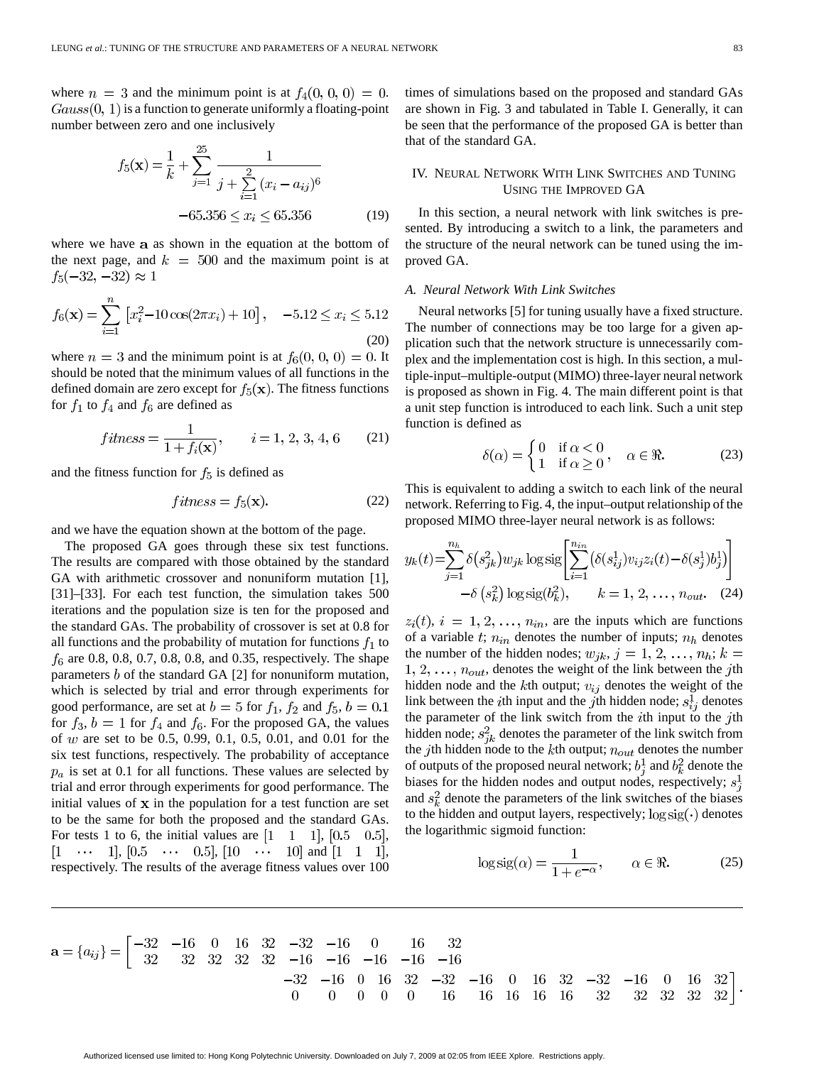where  $n = 3$  and the minimum point is at  $f_4(0, 0, 0) = 0$ .  $Gauss(0, 1)$  is a function to generate uniformly a floating-point number between zero and one inclusively

$$
f_5(\mathbf{x}) = \frac{1}{k} + \sum_{j=1}^{25} \frac{1}{j + \sum_{i=1}^{2} (x_i - a_{ij})^6}
$$

$$
-65.356 \le x_i \le 65.356 \tag{19}
$$

where we have a as shown in the equation at the bottom of the next page, and  $k = 500$  and the maximum point is at  $f_5(-32, -32) \approx 1$ 

$$
f_6(\mathbf{x}) = \sum_{i=1}^{n} [x_i^2 - 10\cos(2\pi x_i) + 10], \quad -5.12 \le x_i \le 5.12
$$
\n(20)

where  $n = 3$  and the minimum point is at  $f_6(0, 0, 0) = 0$ . It should be noted that the minimum values of all functions in the defined domain are zero except for  $f_5(\mathbf{x})$ . The fitness functions for  $f_1$  to  $f_4$  and  $f_6$  are defined as

$$
fitness = \frac{1}{1 + f_i(\mathbf{x})}, \qquad i = 1, 2, 3, 4, 6 \tag{21}
$$

and the fitness function for  $f_5$  is defined as

$$
fitness = f_5(\mathbf{x}).\tag{22}
$$

and we have the equation shown at the bottom of the page.

The proposed GA goes through these six test functions. The results are compared with those obtained by the standard GA with arithmetic crossover and nonuniform mutation [1], [31]–[33]. For each test function, the simulation takes 500 iterations and the population size is ten for the proposed and the standard GAs. The probability of crossover is set at 0.8 for all functions and the probability of mutation for functions  $f_1$  to  $f_6$  are 0.8, 0.8, 0.7, 0.8, 0.8, and 0.35, respectively. The shape parameters  $b$  of the standard GA [2] for nonuniform mutation, which is selected by trial and error through experiments for good performance, are set at  $b = 5$  for  $f_1$ ,  $f_2$  and  $f_5$ ,  $b = 0.1$ for  $f_3$ ,  $b = 1$  for  $f_4$  and  $f_6$ . For the proposed GA, the values of are set to be 0.5, 0.99, 0.1, 0.5, 0.01, and 0.01 for the six test functions, respectively. The probability of acceptance  $p_a$  is set at 0.1 for all functions. These values are selected by trial and error through experiments for good performance. The initial values of  $x$  in the population for a test function are set to be the same for both the proposed and the standard GAs. For tests 1 to 6, the initial values are  $\begin{bmatrix} 1 & 1 & 1 \end{bmatrix}$ ,  $\begin{bmatrix} 0.5 & 0.5 \end{bmatrix}$ ,  $[1 \quad \cdots \quad 1], [0.5 \quad \cdots \quad 0.5], [10 \quad \cdots \quad 10] \text{ and } [1 \quad 1 \quad 1],$ respectively. The results of the average fitness values over 100 times of simulations based on the proposed and standard GAs are shown in Fig. 3 and tabulated in Table I. Generally, it can be seen that the performance of the proposed GA is better than that of the standard GA.

## IV. NEURAL NETWORK WITH LINK SWITCHES AND TUNING USING THE IMPROVED GA

In this section, a neural network with link switches is presented. By introducing a switch to a link, the parameters and the structure of the neural network can be tuned using the improved GA.

## *A. Neural Network With Link Switches*

Neural networks [5] for tuning usually have a fixed structure. The number of connections may be too large for a given application such that the network structure is unnecessarily complex and the implementation cost is high. In this section, a multiple-input–multiple-output (MIMO) three-layer neural network is proposed as shown in Fig. 4. The main different point is that a unit step function is introduced to each link. Such a unit step function is defined as

$$
\delta(\alpha) = \begin{cases} 0 & \text{if } \alpha < 0 \\ 1 & \text{if } \alpha \ge 0 \end{cases}, \quad \alpha \in \Re. \tag{23}
$$

This is equivalent to adding a switch to each link of the neural network. Referring to Fig. 4, the input–output relationship of the proposed MIMO three-layer neural network is as follows:

$$
y_k(t) = \sum_{j=1}^{n_h} \delta(s_{jk}^2) w_{jk} \log \text{sig} \left[ \sum_{i=1}^{n_{in}} (\delta(s_{ij}^1) v_{ij} z_i(t) - \delta(s_j^1) b_j^1) \right] - \delta(s_k^2) \log \text{sig}(b_k^2), \qquad k = 1, 2, ..., n_{out}. \quad (24)
$$

 $z_i(t), i = 1, 2, ..., n_{in}$ , are the inputs which are functions of a variable t;  $n_{in}$  denotes the number of inputs;  $n_h$  denotes the number of the hidden nodes;  $w_{jk}$ ,  $j = 1, 2, ..., n_h$ ;  $k =$  $1, 2, \ldots, n_{out}$ , denotes the weight of the link between the j<sup>th</sup> hidden node and the  $k$ th output;  $v_{ij}$  denotes the weight of the link between the *i*th input and the *j*th hidden node;  $s_{ij}^1$  denotes the parameter of the link switch from the  $i$ th input to the  $j$ th hidden node;  $s_{jk}^2$  denotes the parameter of the link switch from the j<sup>th</sup> hidden node to the *k*<sup>th</sup> output;  $n_{out}$  denotes the number of outputs of the proposed neural network;  $b_i^1$  and  $b_k^2$  denote the biases for the hidden nodes and output nodes, respectively;  $s_i^1$ and  $s_k^2$  denote the parameters of the link switches of the biases to the hidden and output layers, respectively;  $\log \text{sig}(\cdot)$  denotes the logarithmic sigmoid function:

$$
\log \text{sig}(\alpha) = \frac{1}{1 + e^{-\alpha}}, \qquad \alpha \in \Re. \tag{25}
$$

| $\mathbf{a} = \{a_{ij}\} = \begin{bmatrix} -32 & -16 & 0 & 16 & 32 & -32 & -16 & 0 & 16 & 32 \\ 32 & 32 & 32 & 32 & 32 & -16 & -16 & -16 & -16 & -16 \end{bmatrix}$ |  |  |  |  |  |                                                                                                               |  |  |  |  |  |
|---------------------------------------------------------------------------------------------------------------------------------------------------------------------|--|--|--|--|--|---------------------------------------------------------------------------------------------------------------|--|--|--|--|--|
|                                                                                                                                                                     |  |  |  |  |  | $-32$ -16 0 16 32 -32 -16 0 16 32 -32 -16 0 16 32<br>$0 \t 0 \t 0 \t 0 \t 0 \t 16$ 16 16 16 16 32 32 32 32 32 |  |  |  |  |  |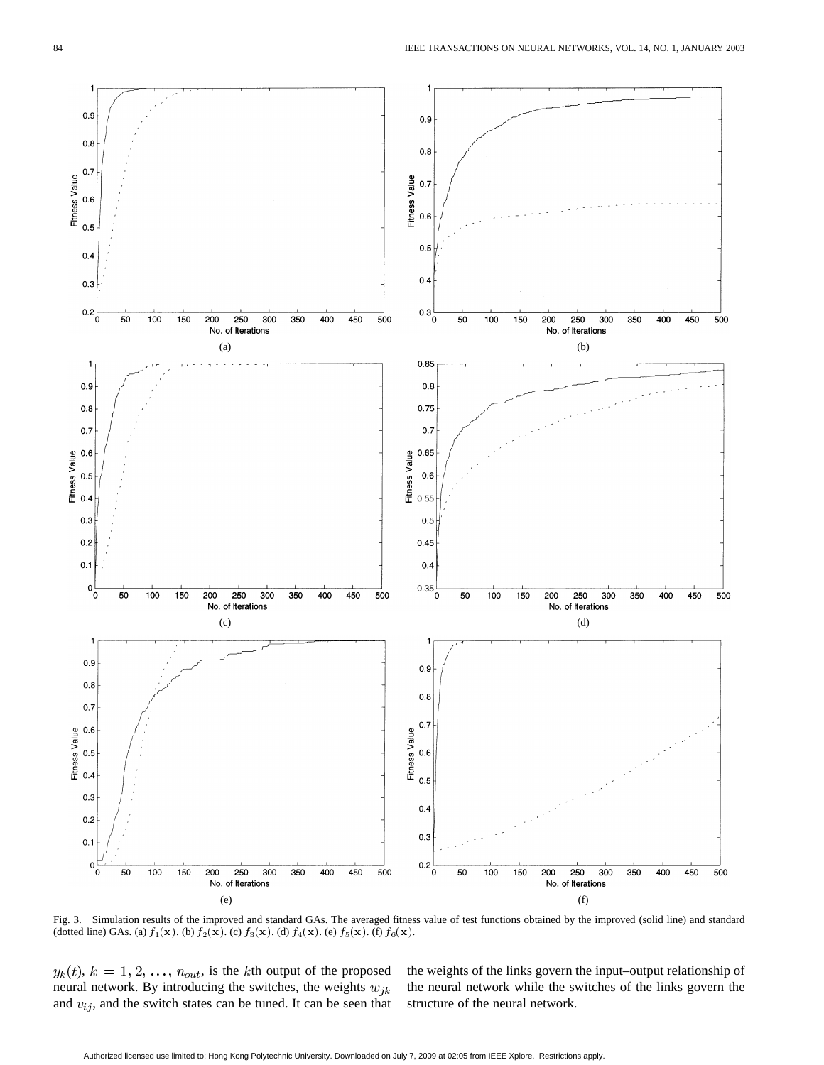

Fig. 3. Simulation results of the improved and standard GAs. The averaged fitness value of test functions obtained by the improved (solid line) and standard (dotted line) GAs. (a)  $f_1(\mathbf{x})$ . (b)  $f_2(\mathbf{x})$ . (c)  $f_3(\mathbf{x})$ . (d)  $f_4(\mathbf{x})$ . (e)  $f_5(\mathbf{x})$ . (f)  $f_6(\mathbf{x})$ .

 $y_k(t), k = 1, 2, \ldots, n_{out}$ , is the kth output of the proposed neural network. By introducing the switches, the weights  $w_{jk}$ and  $v_{ij}$ , and the switch states can be tuned. It can be seen that the weights of the links govern the input–output relationship of the neural network while the switches of the links govern the structure of the neural network.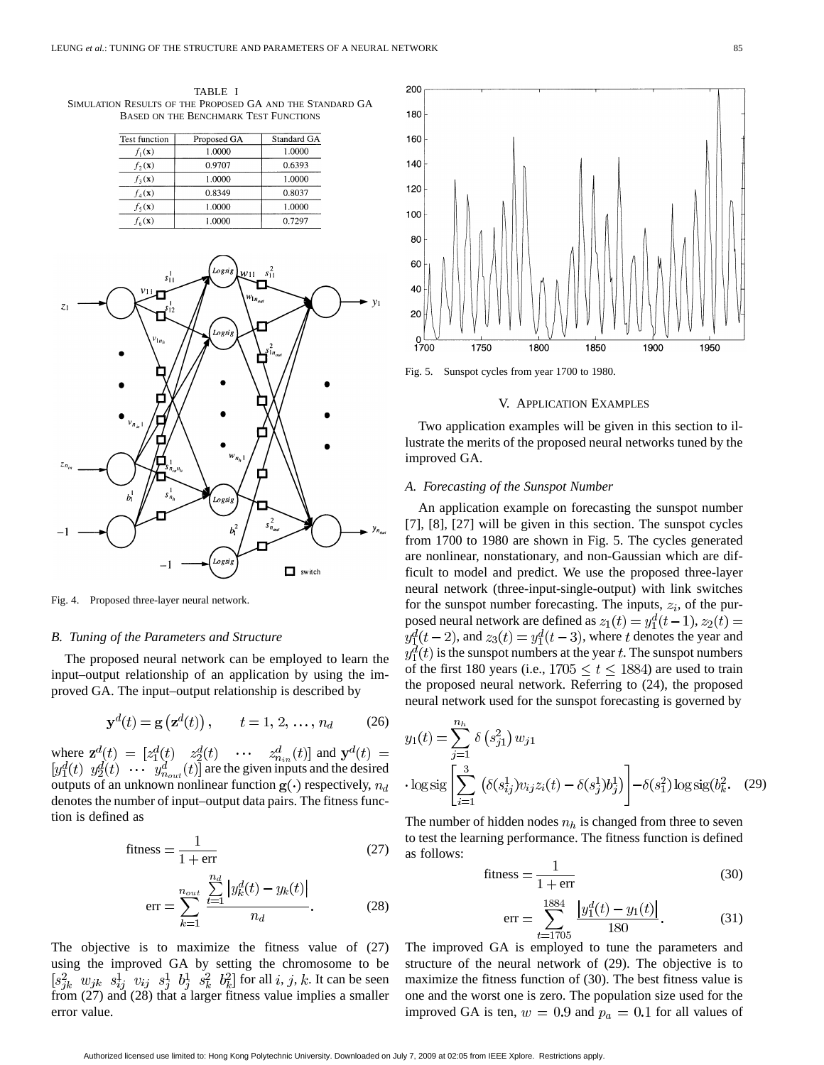

| Test function            | Proposed GA | Standard GA |
|--------------------------|-------------|-------------|
| $f_1(\mathbf{x})$        | 1.0000      | 1.0000      |
| $f_2(\mathbf{x})$        | 0.9707      | 0.6393      |
| $f_3(\mathbf{x})$        | 1.0000      | 1.0000      |
| $f_4(\mathbf{x})$        | 0.8349      | 0.8037      |
| $f_5(\mathbf{x})$        | 1.0000      | 1.0000      |
| $f_{\kappa}(\mathbf{x})$ | 1.0000      | 0.7297      |



Fig. 4. Proposed three-layer neural network.

#### *B. Tuning of the Parameters and Structure*

The proposed neural network can be employed to learn the input–output relationship of an application by using the improved GA. The input–output relationship is described by

$$
\mathbf{y}^{d}(t) = \mathbf{g}\left(\mathbf{z}^{d}(t)\right), \qquad t = 1, 2, ..., n_{d} \tag{26}
$$

where  $\mathbf{z}^d(t) = \begin{bmatrix} z_1^d(t) & z_2^d(t) & \cdots & z_{n_{in}}^d(t) \end{bmatrix}$  and are the given inputs and the desired outputs of an unknown nonlinear function  $g(\cdot)$  respectively,  $n_d$ denotes the number of input–output data pairs. The fitness function is defined as

$$
fitness = \frac{1}{1 + err}
$$
 (27)

err = 
$$
\sum_{k=1}^{n_{out}} \frac{\sum_{t=1}^{n_d} |y_k^d(t) - y_k(t)|}{n_d}.
$$
 (28)

The objective is to maximize the fitness value of (27) using the improved GA by setting the chromosome to be for all  $i, j, k$ . It can be seen from (27) and (28) that a larger fitness value implies a smaller error value.



Fig. 5. Sunspot cycles from year 1700 to 1980.

## V. APPLICATION EXAMPLES

Two application examples will be given in this section to illustrate the merits of the proposed neural networks tuned by the improved GA.

## *A. Forecasting of the Sunspot Number*

An application example on forecasting the sunspot number [7], [8], [27] will be given in this section. The sunspot cycles from 1700 to 1980 are shown in Fig. 5. The cycles generated are nonlinear, nonstationary, and non-Gaussian which are difficult to model and predict. We use the proposed three-layer neural network (three-input-single-output) with link switches for the sunspot number forecasting. The inputs,  $z_i$ , of the purposed neural network are defined as  $z_1(t) = y_1^d(t-1)$ ,  $z_2(t) =$  $y_1^d(t-2)$ , and  $z_3(t) = y_1^d(t-3)$ , where t denotes the year and  $y_1^d(t)$  is the sunspot numbers at the year t. The sunspot numbers of the first 180 years (i.e.,  $1705 \le t \le 1884$ ) are used to train the proposed neural network. Referring to (24), the proposed neural network used for the sunspot forecasting is governed by

$$
y_1(t) = \sum_{j=1}^{n_h} \delta (s_{j1}^2) w_{j1}
$$
  
 
$$
\cdot \log \text{sig} \left[ \sum_{i=1}^3 \left( \delta (s_{ij}^1) v_{ij} z_i(t) - \delta (s_j^1) b_j^1 \right) \right] - \delta (s_1^2) \log \text{sig}(b_k^2.
$$
 (29)

The number of hidden nodes  $n_h$  is changed from three to seven to test the learning performance. The fitness function is defined as follows:

$$
fitness = \frac{1}{1 + err}
$$
 (30)

err = 
$$
\sum_{t=1705}^{1884} \frac{|y_1^d(t) - y_1(t)|}{180}.
$$
 (31)

The improved GA is employed to tune the parameters and structure of the neural network of (29). The objective is to maximize the fitness function of (30). The best fitness value is one and the worst one is zero. The population size used for the improved GA is ten,  $w = 0.9$  and  $p_a = 0.1$  for all values of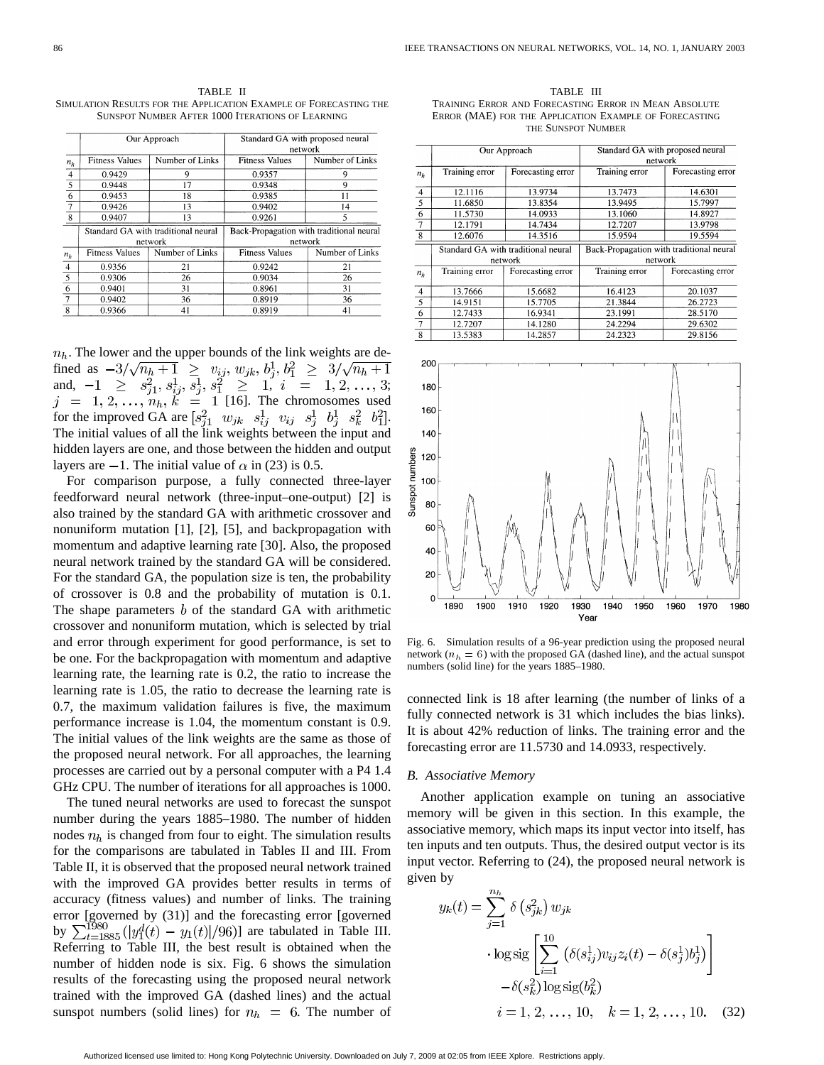TABLE II SIMULATION RESULTS FOR THE APPLICATION EXAMPLE OF FORECASTING THE SUNSPOT NUMBER AFTER 1000 ITERATIONS OF LEARNING

|                |                       | Our Approach                        | Standard GA with proposed neural<br>network |                                                             |  |  |  |
|----------------|-----------------------|-------------------------------------|---------------------------------------------|-------------------------------------------------------------|--|--|--|
| $n_h$          | <b>Fitness Values</b> | Number of Links                     | <b>Fitness Values</b>                       | Number of Links                                             |  |  |  |
| $\overline{4}$ | 0.9429                | 9                                   | 0.9357                                      | 9                                                           |  |  |  |
| 5              | 0.9448                | 17                                  | 0.9348                                      | 9                                                           |  |  |  |
| 6              | 0.9453                | 18                                  | 0.9385                                      | 11                                                          |  |  |  |
| $\overline{7}$ | 0.9426                | 13                                  | 0.9402                                      | 14                                                          |  |  |  |
| 8              | 0.9407                | 13                                  | 0.9261                                      | 5                                                           |  |  |  |
|                |                       |                                     |                                             |                                                             |  |  |  |
|                |                       | Standard GA with traditional neural |                                             |                                                             |  |  |  |
|                |                       | network                             |                                             | network                                                     |  |  |  |
| $n_h$          | <b>Fitness Values</b> | Number of Links                     | <b>Fitness Values</b>                       | Back-Propagation with traditional neural<br>Number of Links |  |  |  |
| $\overline{4}$ | 0.9356                | 21                                  | 0.9242                                      | 21                                                          |  |  |  |
| 5              | 0.9306                | 26                                  | 0.9034                                      | 26                                                          |  |  |  |
| 6              | 0.9401                | 31                                  | 0.8961                                      | 31                                                          |  |  |  |
| $\overline{7}$ | 0.9402                | 36                                  | 0.8919                                      | 36                                                          |  |  |  |

 $n_h$ . The lower and the upper bounds of the link weights are defined as and,  $-1 \geq s_{i1}^2, s_{i2}^1, s_i^1, s_1^2 \geq 1, i = 1, 2, ..., 3;$ [16]. The chromosomes used for the improved GA are  $[s_{j1}^2 \ w_{jk} \ s_{ij}^1 \ v_{ij} \ s_j^1 \ b_j^1 \ s_k^2 \ b_1^2].$ The initial values of all the link weights between the input and hidden layers are one, and those between the hidden and output layers are  $-1$ . The initial value of  $\alpha$  in (23) is 0.5.

For comparison purpose, a fully connected three-layer feedforward neural network (three-input–one-output) [2] is also trained by the standard GA with arithmetic crossover and nonuniform mutation [1], [2], [5], and backpropagation with momentum and adaptive learning rate [30]. Also, the proposed neural network trained by the standard GA will be considered. For the standard GA, the population size is ten, the probability of crossover is 0.8 and the probability of mutation is 0.1. The shape parameters  $b$  of the standard GA with arithmetic crossover and nonuniform mutation, which is selected by trial and error through experiment for good performance, is set to be one. For the backpropagation with momentum and adaptive learning rate, the learning rate is 0.2, the ratio to increase the learning rate is 1.05, the ratio to decrease the learning rate is 0.7, the maximum validation failures is five, the maximum performance increase is 1.04, the momentum constant is 0.9. The initial values of the link weights are the same as those of the proposed neural network. For all approaches, the learning processes are carried out by a personal computer with a P4 1.4 GHz CPU. The number of iterations for all approaches is 1000.

The tuned neural networks are used to forecast the sunspot number during the years 1885–1980. The number of hidden nodes  $n_h$  is changed from four to eight. The simulation results for the comparisons are tabulated in Tables II and III. From Table II, it is observed that the proposed neural network trained with the improved GA provides better results in terms of accuracy (fitness values) and number of links. The training error [governed by (31)] and the forecasting error [governed by  $\sum_{t=1885}^{1980} (|y_1^d(t) - y_1(t)|/96)$  are tabulated in Table III. Referring to Table III, the best result is obtained when the number of hidden node is six. Fig. 6 shows the simulation results of the forecasting using the proposed neural network trained with the improved GA (dashed lines) and the actual sunspot numbers (solid lines) for  $n_h = 6$ . The number of

TABLE III TRAINING ERROR AND FORECASTING ERROR IN MEAN ABSOLUTE ERROR (MAE) FOR THE APPLICATION EXAMPLE OF FORECASTING THE SUNSPOT NUMBER

|                |                | Our Approach                        | Standard GA with proposed neural         |                   |  |  |  |
|----------------|----------------|-------------------------------------|------------------------------------------|-------------------|--|--|--|
|                |                |                                     | network                                  |                   |  |  |  |
| $n_h$          | Training error | Forecasting error                   | Training error                           | Forecasting error |  |  |  |
| $\overline{4}$ | 12.1116        | 13.9734                             | 13.7473                                  | 14.6301           |  |  |  |
| $\bar{5}$      | 11.6850        | 13.8354                             | 13.9495                                  | 15.7997           |  |  |  |
| 6              | 11.5730        | 14.0933                             | 13.1060                                  | 14.8927           |  |  |  |
| 7              | 12.1791        | 14.7434                             | 12.7207                                  | 13.9798           |  |  |  |
| 8              | 12.6076        | 14.3516                             | 15.9594                                  | 19.5594           |  |  |  |
|                |                | Standard GA with traditional neural | Back-Propagation with traditional neural |                   |  |  |  |
|                |                | network                             | network                                  |                   |  |  |  |
| $n_h$          | Training error | Forecasting error                   | Training error                           | Forecasting error |  |  |  |
| $\overline{4}$ | 13.7666        | 15.6682                             | 16.4123                                  | 20.1037           |  |  |  |
| 5              | 14.9151        | 15.7705                             | 21.3844                                  | 26.2723           |  |  |  |
| 6              | 12.7433        | 16.9341                             | 23.1991                                  | 28.5170           |  |  |  |
| 7              | 12.7207        | 14.1280                             | 24.2294                                  | 29.6302           |  |  |  |
| 8              | 13.5383        | 14.2857                             | 24.2323                                  | 29.8156           |  |  |  |



Fig. 6. Simulation results of a 96-year prediction using the proposed neural network ( $n_h = 6$ ) with the proposed GA (dashed line), and the actual sunspot numbers (solid line) for the years 1885–1980.

connected link is 18 after learning (the number of links of a fully connected network is 31 which includes the bias links). It is about 42% reduction of links. The training error and the forecasting error are 11.5730 and 14.0933, respectively.

### *B. Associative Memory*

Another application example on tuning an associative memory will be given in this section. In this example, the associative memory, which maps its input vector into itself, has ten inputs and ten outputs. Thus, the desired output vector is its input vector. Referring to (24), the proposed neural network is given by

$$
y_k(t) = \sum_{j=1}^{n_h} \delta (s_{jk}^2) w_{jk}
$$
  
. 
$$
\log \text{sig} \left[ \sum_{i=1}^{10} (\delta(s_{ij}^1) v_{ij} z_i(t) - \delta(s_j^1) b_j^1) \right]
$$
  

$$
- \delta(s_k^2) \log \text{sig}(b_k^2)
$$
  
 $i = 1, 2, ..., 10, \quad k = 1, 2, ..., 10.$  (32)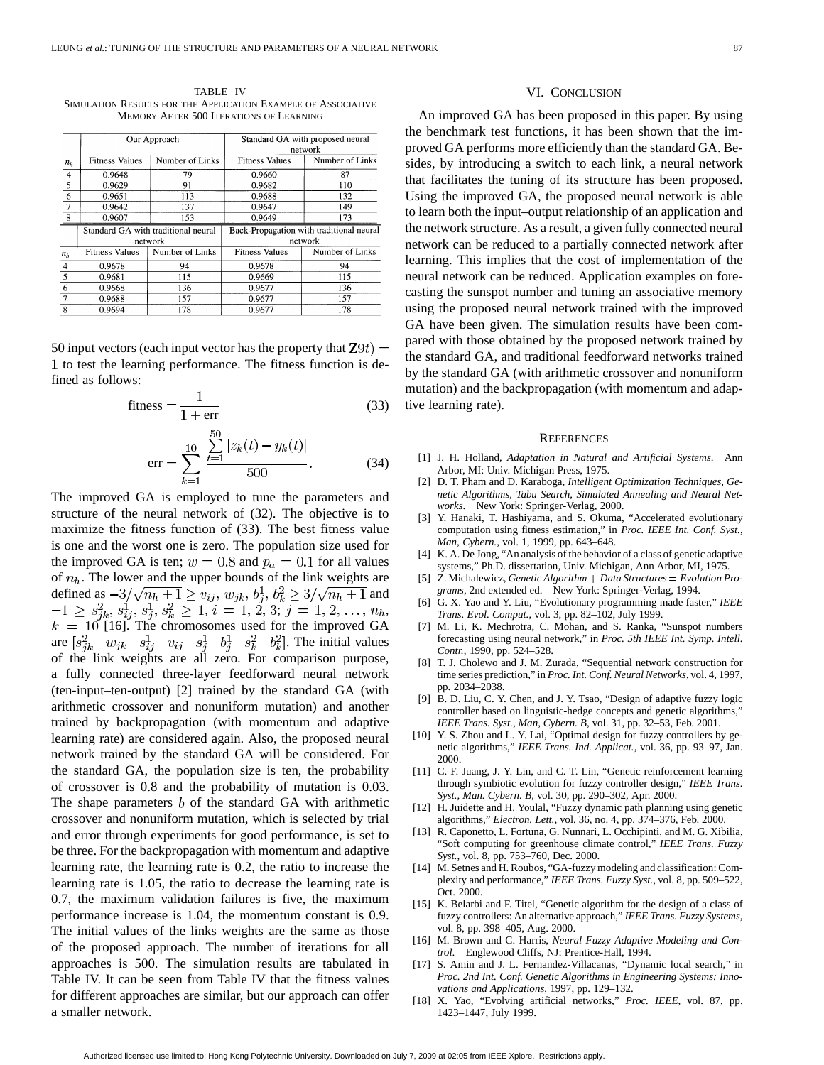TABLE IV SIMULATION RESULTS FOR THE APPLICATION EXAMPLE OF ASSOCIATIVE MEMORY AFTER 500 ITERATIONS OF LEARNING

|                |                       | Our Approach                        | Standard GA with proposed neural<br>network |                                          |  |  |  |
|----------------|-----------------------|-------------------------------------|---------------------------------------------|------------------------------------------|--|--|--|
| $n_h$          | <b>Fitness Values</b> | Number of Links                     | <b>Fitness Values</b>                       | Number of Links                          |  |  |  |
| $\overline{4}$ | 0.9648                | 79                                  | 0.9660                                      | 87                                       |  |  |  |
| 5              | 0.9629                | 91                                  | 0.9682                                      | 110                                      |  |  |  |
| 6              | 0.9651                | 113                                 | 0.9688                                      | 132                                      |  |  |  |
| 7              | 0.9642                | 137                                 | 0.9647                                      | 149                                      |  |  |  |
| 8              | 0.9607                | 153                                 | 0.9649                                      | 173                                      |  |  |  |
|                |                       | Standard GA with traditional neural |                                             | Back-Propagation with traditional neural |  |  |  |
|                |                       | network                             | network                                     |                                          |  |  |  |
| $n_h$          | <b>Fitness Values</b> | Number of Links                     | <b>Fitness Values</b>                       | Number of Links                          |  |  |  |
|                |                       |                                     |                                             |                                          |  |  |  |
| $\overline{4}$ | 0.9678                | 94                                  | 0.9678                                      | 94                                       |  |  |  |
| 5              | 0.9681                | 115                                 | 0.9669                                      | 115                                      |  |  |  |
| 6              | 0.9668                | 136                                 | 0.9677                                      | 136                                      |  |  |  |
| $\overline{7}$ | 0.9688                | 157                                 | 0.9677                                      | 157                                      |  |  |  |

50 input vectors (each input vector has the property that  $\mathbf{Z}9t$ ) = 1 to test the learning performance. The fitness function is defined as follows:

$$
fitness = \frac{1}{1 + err}
$$
 (33)

err = 
$$
\sum_{k=1}^{10} \frac{\sum_{t=1}^{50} |z_k(t) - y_k(t)|}{500}.
$$
 (34)

The improved GA is employed to tune the parameters and structure of the neural network of (32). The objective is to maximize the fitness function of (33). The best fitness value is one and the worst one is zero. The population size used for the improved GA is ten;  $w = 0.8$  and  $p_a = 0.1$  for all values of  $n_h$ . The lower and the upper bounds of the link weights are defined as  $-3/\sqrt{n_h+1} \ge v_{ij}, w_{jk}, b_j^1, b_k^2 \ge 3/\sqrt{n_h+1}$  and  $-1 \geq s_{jk}^2, s_{ij}^1, s_j^1, s_k^2 \geq 1, i = 1, 2, 3, j = 1, 2, ..., n_h,$  $k = 10$  [16]. The chromosomes used for the improved GA are  $[s_{ik}^2$   $w_{jk}$   $s_{ij}^1$   $v_{ij}$   $s_j^1$   $s_k^1$   $s_k^2$   $s_k^2$ ]. The initial values of the link weights are all zero. For comparison purpose, a fully connected three-layer feedforward neural network (ten-input–ten-output) [2] trained by the standard GA (with arithmetic crossover and nonuniform mutation) and another trained by backpropagation (with momentum and adaptive learning rate) are considered again. Also, the proposed neural network trained by the standard GA will be considered. For the standard GA, the population size is ten, the probability of crossover is 0.8 and the probability of mutation is 0.03. The shape parameters  $b$  of the standard GA with arithmetic crossover and nonuniform mutation, which is selected by trial and error through experiments for good performance, is set to be three. For the backpropagation with momentum and adaptive learning rate, the learning rate is 0.2, the ratio to increase the learning rate is 1.05, the ratio to decrease the learning rate is 0.7, the maximum validation failures is five, the maximum performance increase is 1.04, the momentum constant is 0.9. The initial values of the links weights are the same as those of the proposed approach. The number of iterations for all approaches is 500. The simulation results are tabulated in Table IV. It can be seen from Table IV that the fitness values for different approaches are similar, but our approach can offer a smaller network.

#### VI. CONCLUSION

An improved GA has been proposed in this paper. By using the benchmark test functions, it has been shown that the improved GA performs more efficiently than the standard GA. Besides, by introducing a switch to each link, a neural network that facilitates the tuning of its structure has been proposed. Using the improved GA, the proposed neural network is able to learn both the input–output relationship of an application and the network structure. As a result, a given fully connected neural network can be reduced to a partially connected network after learning. This implies that the cost of implementation of the neural network can be reduced. Application examples on forecasting the sunspot number and tuning an associative memory using the proposed neural network trained with the improved GA have been given. The simulation results have been compared with those obtained by the proposed network trained by the standard GA, and traditional feedforward networks trained by the standard GA (with arithmetic crossover and nonuniform mutation) and the backpropagation (with momentum and adaptive learning rate).

#### **REFERENCES**

- [1] J. H. Holland, *Adaptation in Natural and Artificial Systems*. Ann Arbor, MI: Univ. Michigan Press, 1975.
- [2] D. T. Pham and D. Karaboga, *Intelligent Optimization Techniques, Genetic Algorithms, Tabu Search, Simulated Annealing and Neural Networks*. New York: Springer-Verlag, 2000.
- [3] Y. Hanaki, T. Hashiyama, and S. Okuma, "Accelerated evolutionary computation using fitness estimation," in *Proc. IEEE Int. Conf. Syst., Man, Cybern.*, vol. 1, 1999, pp. 643–648.
- [4] K. A. De Jong, "An analysis of the behavior of a class of genetic adaptive systems," Ph.D. dissertation, Univ. Michigan, Ann Arbor, MI, 1975.
- [5] Z. Michalewicz, *Genetic Algorithm* + *Data Structures* = *Evolution Programs*, 2nd extended ed. New York: Springer-Verlag, 1994.
- [6] G. X. Yao and Y. Liu, "Evolutionary programming made faster," *IEEE Trans. Evol. Comput.*, vol. 3, pp. 82–102, July 1999.
- [7] M. Li, K. Mechrotra, C. Mohan, and S. Ranka, "Sunspot numbers forecasting using neural network," in *Proc. 5th IEEE Int. Symp. Intell. Contr.*, 1990, pp. 524–528.
- [8] T. J. Cholewo and J. M. Zurada, "Sequential network construction for time series prediction," in *Proc. Int. Conf. Neural Networks*, vol. 4, 1997, pp. 2034–2038.
- [9] B. D. Liu, C. Y. Chen, and J. Y. Tsao, "Design of adaptive fuzzy logic controller based on linguistic-hedge concepts and genetic algorithms," *IEEE Trans. Syst., Man, Cybern. B*, vol. 31, pp. 32–53, Feb. 2001.
- [10] Y. S. Zhou and L. Y. Lai, "Optimal design for fuzzy controllers by genetic algorithms," *IEEE Trans. Ind. Applicat.*, vol. 36, pp. 93–97, Jan. 2000.
- [11] C. F. Juang, J. Y. Lin, and C. T. Lin, "Genetic reinforcement learning through symbiotic evolution for fuzzy controller design," *IEEE Trans. Syst., Man. Cybern. B*, vol. 30, pp. 290–302, Apr. 2000.
- [12] H. Juidette and H. Youlal, "Fuzzy dynamic path planning using genetic algorithms," *Electron. Lett.*, vol. 36, no. 4, pp. 374–376, Feb. 2000.
- [13] R. Caponetto, L. Fortuna, G. Nunnari, L. Occhipinti, and M. G. Xibilia, "Soft computing for greenhouse climate control," *IEEE Trans. Fuzzy Syst.*, vol. 8, pp. 753–760, Dec. 2000.
- [14] M. Setnes and H. Roubos, "GA-fuzzy modeling and classification: Complexity and performance," *IEEE Trans. Fuzzy Syst.*, vol. 8, pp. 509–522, Oct. 2000.
- [15] K. Belarbi and F. Titel, "Genetic algorithm for the design of a class of fuzzy controllers: An alternative approach," *IEEE Trans. Fuzzy Systems*, vol. 8, pp. 398–405, Aug. 2000.
- [16] M. Brown and C. Harris, *Neural Fuzzy Adaptive Modeling and Control*. Englewood Cliffs, NJ: Prentice-Hall, 1994.
- [17] S. Amin and J. L. Fernandez-Villacanas, "Dynamic local search," in *Proc. 2nd Int. Conf. Genetic Algorithms in Engineering Systems: Innovations and Applications*, 1997, pp. 129–132.
- [18] X. Yao, "Evolving artificial networks," *Proc. IEEE*, vol. 87, pp. 1423–1447, July 1999.